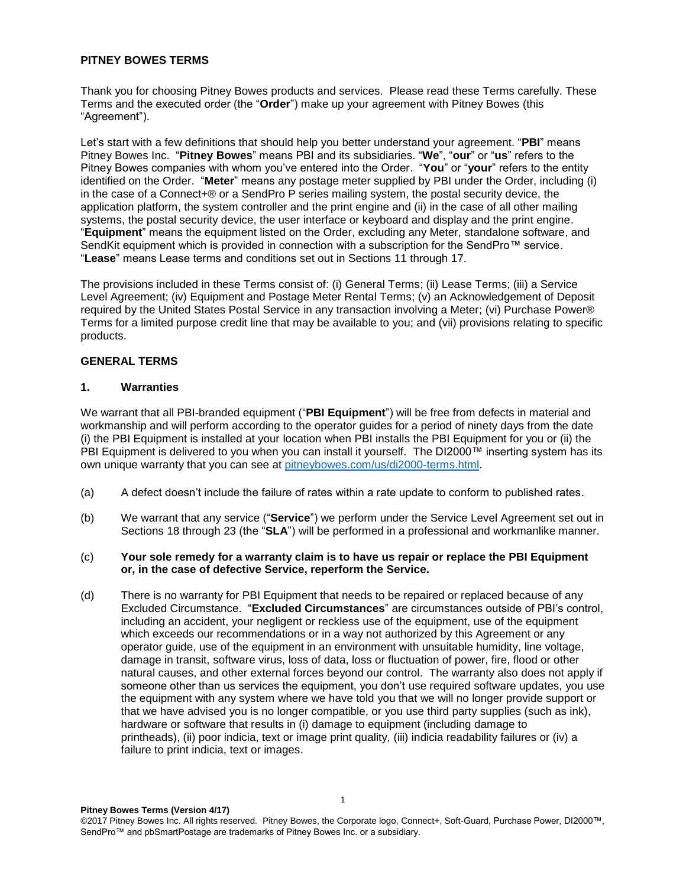### **PITNEY BOWES TERMS**

Thank you for choosing Pitney Bowes products and services. Please read these Terms carefully. These Terms and the executed order (the "**Order**") make up your agreement with Pitney Bowes (this "Agreement").

Let's start with a few definitions that should help you better understand your agreement. "**PBI**" means Pitney Bowes Inc. "**Pitney Bowes**" means PBI and its subsidiaries. "**We**", "**our**" or "**us**" refers to the Pitney Bowes companies with whom you've entered into the Order. "**You**" or "**your**" refers to the entity identified on the Order. "**Meter**" means any postage meter supplied by PBI under the Order, including (i) in the case of a Connect+® or a SendPro P series mailing system, the postal security device, the application platform, the system controller and the print engine and (ii) in the case of all other mailing systems, the postal security device, the user interface or keyboard and display and the print engine. "**Equipment**" means the equipment listed on the Order, excluding any Meter, standalone software, and SendKit equipment which is provided in connection with a subscription for the SendPro™ service. "**Lease**" means Lease terms and conditions set out in Sections 11 through 17.

The provisions included in these Terms consist of: (i) General Terms; (ii) Lease Terms; (iii) a Service Level Agreement; (iv) Equipment and Postage Meter Rental Terms; (v) an Acknowledgement of Deposit required by the United States Postal Service in any transaction involving a Meter; (vi) Purchase Power® Terms for a limited purpose credit line that may be available to you; and (vii) provisions relating to specific products.

### **GENERAL TERMS**

### **1. Warranties**

We warrant that all PBI-branded equipment ("**PBI Equipment**") will be free from defects in material and workmanship and will perform according to the operator guides for a period of ninety days from the date (i) the PBI Equipment is installed at your location when PBI installs the PBI Equipment for you or (ii) the PBI Equipment is delivered to you when you can install it yourself. The DI2000™ inserting system has its own unique warranty that you can see at [pitneybowes.com/us/di2000-terms.html.](http://www.pitneybowes.com/us/di2000-terms.html)

- (a) A defect doesn't include the failure of rates within a rate update to conform to published rates.
- (b) We warrant that any service ("**Service**") we perform under the Service Level Agreement set out in Sections 18 through 23 (the "**SLA**") will be performed in a professional and workmanlike manner.
- (c) **Your sole remedy for a warranty claim is to have us repair or replace the PBI Equipment or, in the case of defective Service, reperform the Service.**
- (d) There is no warranty for PBI Equipment that needs to be repaired or replaced because of any Excluded Circumstance. "**Excluded Circumstances**" are circumstances outside of PBI's control, including an accident, your negligent or reckless use of the equipment, use of the equipment which exceeds our recommendations or in a way not authorized by this Agreement or any operator guide, use of the equipment in an environment with unsuitable humidity, line voltage, damage in transit, software virus, loss of data, loss or fluctuation of power, fire, flood or other natural causes, and other external forces beyond our control. The warranty also does not apply if someone other than us services the equipment, you don't use required software updates, you use the equipment with any system where we have told you that we will no longer provide support or that we have advised you is no longer compatible, or you use third party supplies (such as ink), hardware or software that results in (i) damage to equipment (including damage to printheads), (ii) poor indicia, text or image print quality, (iii) indicia readability failures or (iv) a failure to print indicia, text or images.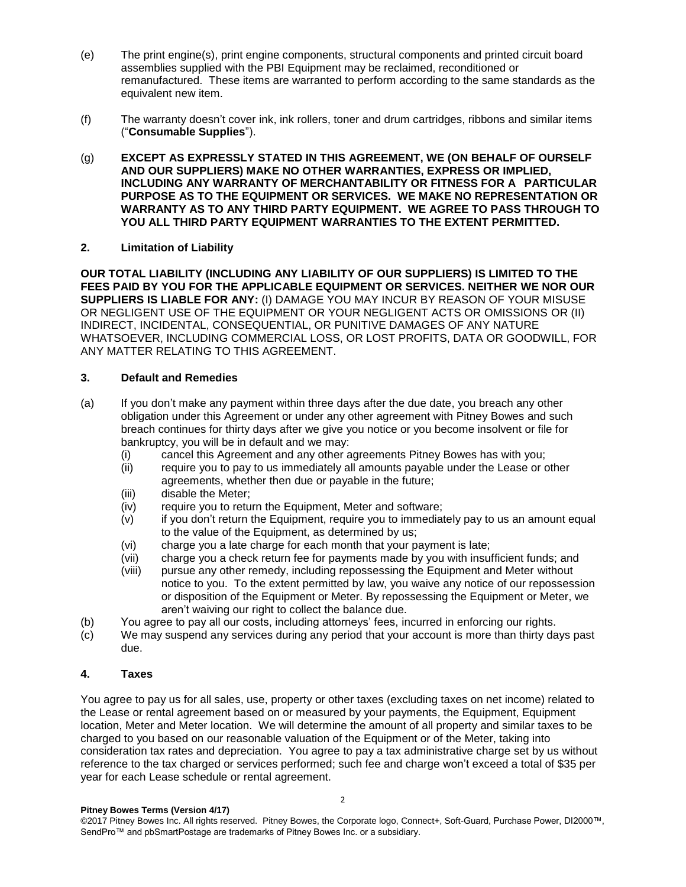- (e) The print engine(s), print engine components, structural components and printed circuit board assemblies supplied with the PBI Equipment may be reclaimed, reconditioned or remanufactured. These items are warranted to perform according to the same standards as the equivalent new item.
- (f) The warranty doesn't cover ink, ink rollers, toner and drum cartridges, ribbons and similar items ("**Consumable Supplies**").
- (g) **EXCEPT AS EXPRESSLY STATED IN THIS AGREEMENT, WE (ON BEHALF OF OURSELF AND OUR SUPPLIERS) MAKE NO OTHER WARRANTIES, EXPRESS OR IMPLIED, INCLUDING ANY WARRANTY OF MERCHANTABILITY OR FITNESS FOR A PARTICULAR PURPOSE AS TO THE EQUIPMENT OR SERVICES. WE MAKE NO REPRESENTATION OR WARRANTY AS TO ANY THIRD PARTY EQUIPMENT. WE AGREE TO PASS THROUGH TO YOU ALL THIRD PARTY EQUIPMENT WARRANTIES TO THE EXTENT PERMITTED.**

### **2. Limitation of Liability**

**OUR TOTAL LIABILITY (INCLUDING ANY LIABILITY OF OUR SUPPLIERS) IS LIMITED TO THE FEES PAID BY YOU FOR THE APPLICABLE EQUIPMENT OR SERVICES. NEITHER WE NOR OUR SUPPLIERS IS LIABLE FOR ANY:** (I) DAMAGE YOU MAY INCUR BY REASON OF YOUR MISUSE OR NEGLIGENT USE OF THE EQUIPMENT OR YOUR NEGLIGENT ACTS OR OMISSIONS OR (II) INDIRECT, INCIDENTAL, CONSEQUENTIAL, OR PUNITIVE DAMAGES OF ANY NATURE WHATSOEVER, INCLUDING COMMERCIAL LOSS, OR LOST PROFITS, DATA OR GOODWILL, FOR ANY MATTER RELATING TO THIS AGREEMENT.

### **3. Default and Remedies**

- (a) If you don't make any payment within three days after the due date, you breach any other obligation under this Agreement or under any other agreement with Pitney Bowes and such breach continues for thirty days after we give you notice or you become insolvent or file for bankruptcy, you will be in default and we may:
	- (i) cancel this Agreement and any other agreements Pitney Bowes has with you;
	- (ii) require you to pay to us immediately all amounts payable under the Lease or other agreements, whether then due or payable in the future;
	- (iii) disable the Meter;
	- (iv) require you to return the Equipment, Meter and software;
	- (v) if you don't return the Equipment, require you to immediately pay to us an amount equal to the value of the Equipment, as determined by us;
	- (vi) charge you a late charge for each month that your payment is late;
	- (vii) charge you a check return fee for payments made by you with insufficient funds; and
	- (viii) pursue any other remedy, including repossessing the Equipment and Meter without notice to you. To the extent permitted by law, you waive any notice of our repossession or disposition of the Equipment or Meter. By repossessing the Equipment or Meter, we aren't waiving our right to collect the balance due.
- (b) You agree to pay all our costs, including attorneys' fees, incurred in enforcing our rights.
- (c) We may suspend any services during any period that your account is more than thirty days past due.

## **4. Taxes**

You agree to pay us for all sales, use, property or other taxes (excluding taxes on net income) related to the Lease or rental agreement based on or measured by your payments, the Equipment, Equipment location, Meter and Meter location. We will determine the amount of all property and similar taxes to be charged to you based on our reasonable valuation of the Equipment or of the Meter, taking into consideration tax rates and depreciation. You agree to pay a tax administrative charge set by us without reference to the tax charged or services performed; such fee and charge won't exceed a total of \$35 per year for each Lease schedule or rental agreement.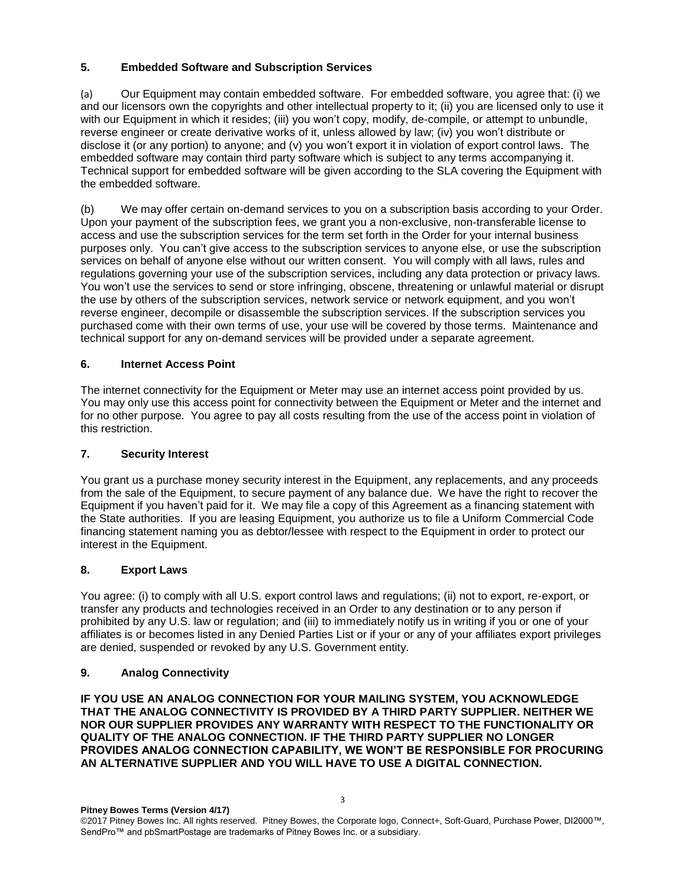# **5. Embedded Software and Subscription Services**

(a) Our Equipment may contain embedded software. For embedded software, you agree that: (i) we and our licensors own the copyrights and other intellectual property to it; (ii) you are licensed only to use it with our Equipment in which it resides; (iii) you won't copy, modify, de-compile, or attempt to unbundle, reverse engineer or create derivative works of it, unless allowed by law; (iv) you won't distribute or disclose it (or any portion) to anyone; and (v) you won't export it in violation of export control laws. The embedded software may contain third party software which is subject to any terms accompanying it. Technical support for embedded software will be given according to the SLA covering the Equipment with the embedded software.

(b) We may offer certain on-demand services to you on a subscription basis according to your Order. Upon your payment of the subscription fees, we grant you a non-exclusive, non-transferable license to access and use the subscription services for the term set forth in the Order for your internal business purposes only. You can't give access to the subscription services to anyone else, or use the subscription services on behalf of anyone else without our written consent. You will comply with all laws, rules and regulations governing your use of the subscription services, including any data protection or privacy laws. You won't use the services to send or store infringing, obscene, threatening or unlawful material or disrupt the use by others of the subscription services, network service or network equipment, and you won't reverse engineer, decompile or disassemble the subscription services. If the subscription services you purchased come with their own terms of use, your use will be covered by those terms. Maintenance and technical support for any on-demand services will be provided under a separate agreement.

## **6. Internet Access Point**

The internet connectivity for the Equipment or Meter may use an internet access point provided by us. You may only use this access point for connectivity between the Equipment or Meter and the internet and for no other purpose. You agree to pay all costs resulting from the use of the access point in violation of this restriction.

## **7. Security Interest**

You grant us a purchase money security interest in the Equipment, any replacements, and any proceeds from the sale of the Equipment, to secure payment of any balance due. We have the right to recover the Equipment if you haven't paid for it. We may file a copy of this Agreement as a financing statement with the State authorities. If you are leasing Equipment, you authorize us to file a Uniform Commercial Code financing statement naming you as debtor/lessee with respect to the Equipment in order to protect our interest in the Equipment.

## **8. Export Laws**

You agree: (i) to comply with all U.S. export control laws and regulations; (ii) not to export, re-export, or transfer any products and technologies received in an Order to any destination or to any person if prohibited by any U.S. law or regulation; and (iii) to immediately notify us in writing if you or one of your affiliates is or becomes listed in any Denied Parties List or if your or any of your affiliates export privileges are denied, suspended or revoked by any U.S. Government entity.

## **9. Analog Connectivity**

**IF YOU USE AN ANALOG CONNECTION FOR YOUR MAILING SYSTEM, YOU ACKNOWLEDGE THAT THE ANALOG CONNECTIVITY IS PROVIDED BY A THIRD PARTY SUPPLIER. NEITHER WE NOR OUR SUPPLIER PROVIDES ANY WARRANTY WITH RESPECT TO THE FUNCTIONALITY OR QUALITY OF THE ANALOG CONNECTION. IF THE THIRD PARTY SUPPLIER NO LONGER PROVIDES ANALOG CONNECTION CAPABILITY, WE WON'T BE RESPONSIBLE FOR PROCURING AN ALTERNATIVE SUPPLIER AND YOU WILL HAVE TO USE A DIGITAL CONNECTION.**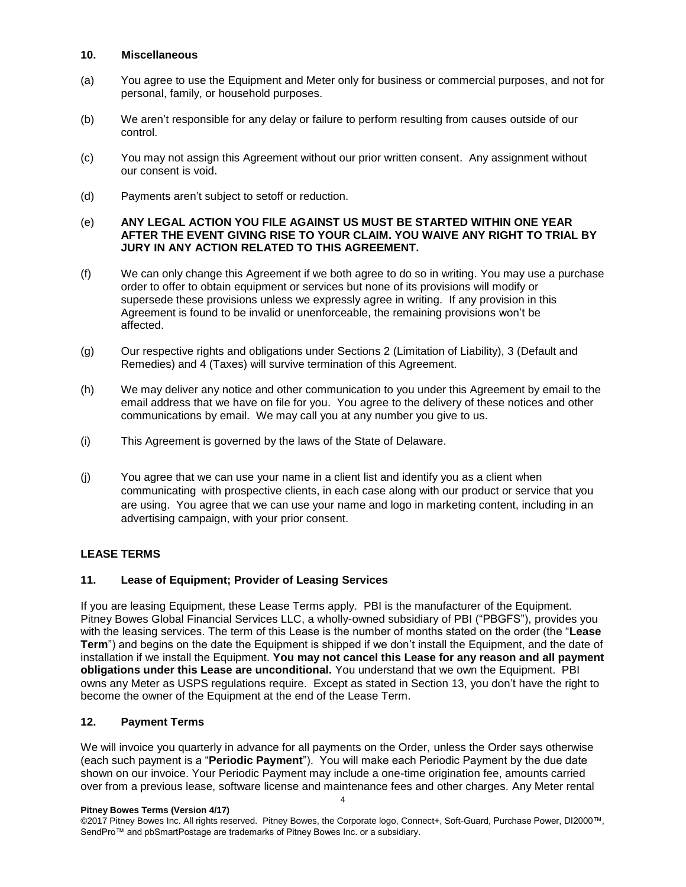### **10. Miscellaneous**

- (a) You agree to use the Equipment and Meter only for business or commercial purposes, and not for personal, family, or household purposes.
- (b) We aren't responsible for any delay or failure to perform resulting from causes outside of our control.
- (c) You may not assign this Agreement without our prior written consent. Any assignment without our consent is void.
- (d) Payments aren't subject to setoff or reduction.

### (e) **ANY LEGAL ACTION YOU FILE AGAINST US MUST BE STARTED WITHIN ONE YEAR AFTER THE EVENT GIVING RISE TO YOUR CLAIM. YOU WAIVE ANY RIGHT TO TRIAL BY JURY IN ANY ACTION RELATED TO THIS AGREEMENT.**

- (f) We can only change this Agreement if we both agree to do so in writing. You may use a purchase order to offer to obtain equipment or services but none of its provisions will modify or supersede these provisions unless we expressly agree in writing. If any provision in this Agreement is found to be invalid or unenforceable, the remaining provisions won't be affected.
- (g) Our respective rights and obligations under Sections 2 (Limitation of Liability), 3 (Default and Remedies) and 4 (Taxes) will survive termination of this Agreement.
- (h) We may deliver any notice and other communication to you under this Agreement by email to the email address that we have on file for you. You agree to the delivery of these notices and other communications by email. We may call you at any number you give to us.
- (i) This Agreement is governed by the laws of the State of Delaware.
- (j) You agree that we can use your name in a client list and identify you as a client when communicating with prospective clients, in each case along with our product or service that you are using. You agree that we can use your name and logo in marketing content, including in an advertising campaign, with your prior consent.

## **LEASE TERMS**

## **11. Lease of Equipment; Provider of Leasing Services**

If you are leasing Equipment, these Lease Terms apply. PBI is the manufacturer of the Equipment. Pitney Bowes Global Financial Services LLC, a wholly-owned subsidiary of PBI ("PBGFS"), provides you with the leasing services. The term of this Lease is the number of months stated on the order (the "**Lease Term**") and begins on the date the Equipment is shipped if we don't install the Equipment, and the date of installation if we install the Equipment. **You may not cancel this Lease for any reason and all payment obligations under this Lease are unconditional.** You understand that we own the Equipment. PBI owns any Meter as USPS regulations require. Except as stated in Section 13, you don't have the right to become the owner of the Equipment at the end of the Lease Term.

### **12. Payment Terms**

We will invoice you quarterly in advance for all payments on the Order, unless the Order says otherwise (each such payment is a "**Periodic Payment**"). You will make each Periodic Payment by the due date shown on our invoice. Your Periodic Payment may include a one-time origination fee, amounts carried over from a previous lease, software license and maintenance fees and other charges. Any Meter rental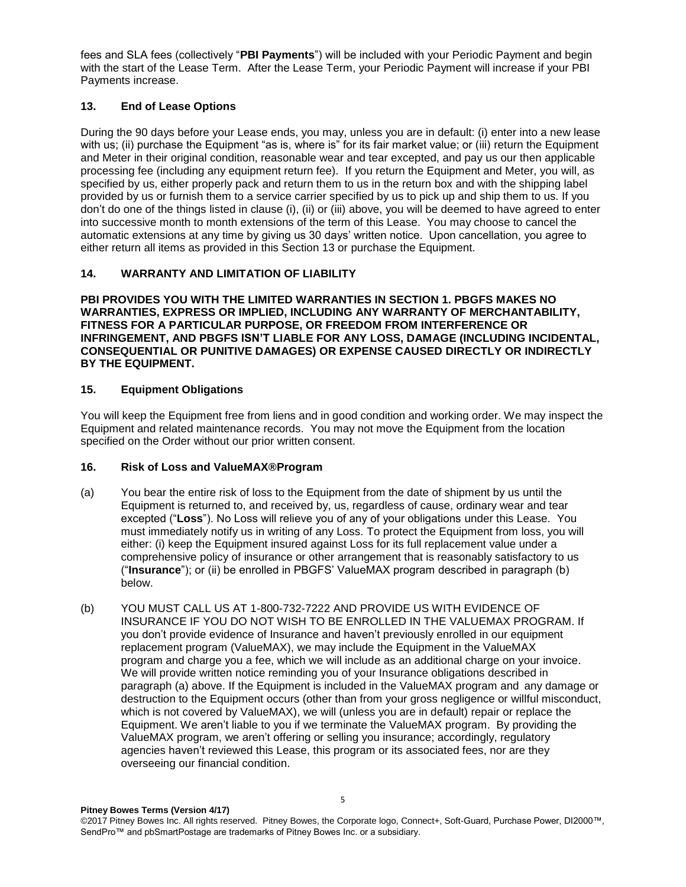fees and SLA fees (collectively "**PBI Payments**") will be included with your Periodic Payment and begin with the start of the Lease Term. After the Lease Term, your Periodic Payment will increase if your PBI Payments increase.

## **13. End of Lease Options**

During the 90 days before your Lease ends, you may, unless you are in default: (i) enter into a new lease with us; (ii) purchase the Equipment "as is, where is" for its fair market value; or (iii) return the Equipment and Meter in their original condition, reasonable wear and tear excepted, and pay us our then applicable processing fee (including any equipment return fee). If you return the Equipment and Meter, you will, as specified by us, either properly pack and return them to us in the return box and with the shipping label provided by us or furnish them to a service carrier specified by us to pick up and ship them to us. If you don't do one of the things listed in clause (i), (ii) or (iii) above, you will be deemed to have agreed to enter into successive month to month extensions of the term of this Lease. You may choose to cancel the automatic extensions at any time by giving us 30 days' written notice. Upon cancellation, you agree to either return all items as provided in this Section 13 or purchase the Equipment.

## **14. WARRANTY AND LIMITATION OF LIABILITY**

**PBI PROVIDES YOU WITH THE LIMITED WARRANTIES IN SECTION 1. PBGFS MAKES NO WARRANTIES, EXPRESS OR IMPLIED, INCLUDING ANY WARRANTY OF MERCHANTABILITY, FITNESS FOR A PARTICULAR PURPOSE, OR FREEDOM FROM INTERFERENCE OR INFRINGEMENT, AND PBGFS ISN'T LIABLE FOR ANY LOSS, DAMAGE (INCLUDING INCIDENTAL, CONSEQUENTIAL OR PUNITIVE DAMAGES) OR EXPENSE CAUSED DIRECTLY OR INDIRECTLY BY THE EQUIPMENT.**

## **15. Equipment Obligations**

You will keep the Equipment free from liens and in good condition and working order. We may inspect the Equipment and related maintenance records. You may not move the Equipment from the location specified on the Order without our prior written consent.

### **16. Risk of Loss and ValueMAX®Program**

- (a) You bear the entire risk of loss to the Equipment from the date of shipment by us until the Equipment is returned to, and received by, us, regardless of cause, ordinary wear and tear excepted ("**Loss**"). No Loss will relieve you of any of your obligations under this Lease. You must immediately notify us in writing of any Loss. To protect the Equipment from loss, you will either: (i) keep the Equipment insured against Loss for its full replacement value under a comprehensive policy of insurance or other arrangement that is reasonably satisfactory to us ("**Insurance**"); or (ii) be enrolled in PBGFS' ValueMAX program described in paragraph (b) below.
- (b) YOU MUST CALL US AT 1-800-732-7222 AND PROVIDE US WITH EVIDENCE OF INSURANCE IF YOU DO NOT WISH TO BE ENROLLED IN THE VALUEMAX PROGRAM. If you don't provide evidence of Insurance and haven't previously enrolled in our equipment replacement program (ValueMAX), we may include the Equipment in the ValueMAX program and charge you a fee, which we will include as an additional charge on your invoice. We will provide written notice reminding you of your Insurance obligations described in paragraph (a) above. If the Equipment is included in the ValueMAX program and any damage or destruction to the Equipment occurs (other than from your gross negligence or willful misconduct, which is not covered by ValueMAX), we will (unless you are in default) repair or replace the Equipment. We aren't liable to you if we terminate the ValueMAX program. By providing the ValueMAX program, we aren't offering or selling you insurance; accordingly, regulatory agencies haven't reviewed this Lease, this program or its associated fees, nor are they overseeing our financial condition.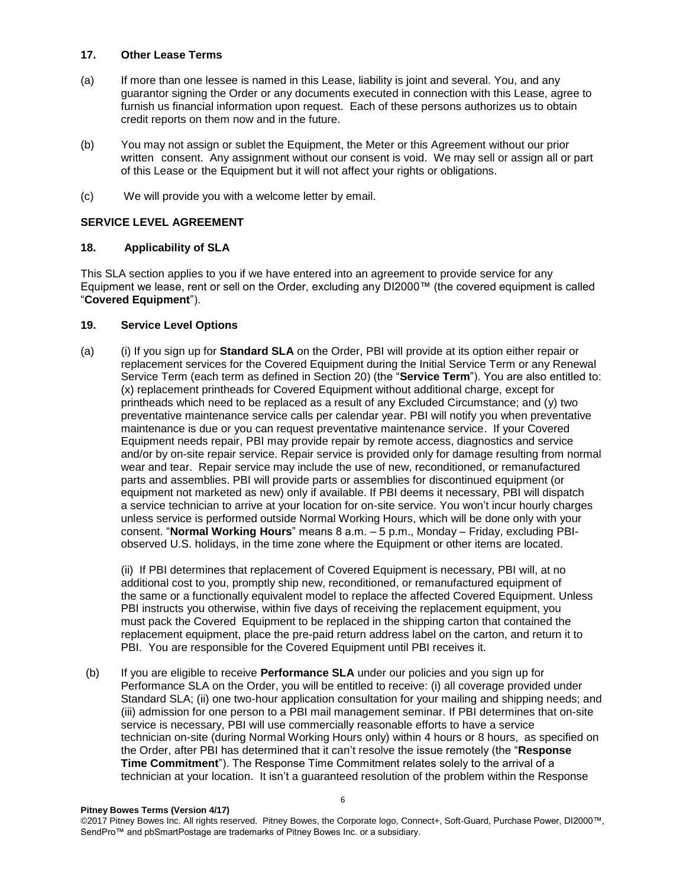### **17. Other Lease Terms**

- (a) If more than one lessee is named in this Lease, liability is joint and several. You, and any guarantor signing the Order or any documents executed in connection with this Lease, agree to furnish us financial information upon request. Each of these persons authorizes us to obtain credit reports on them now and in the future.
- (b) You may not assign or sublet the Equipment, the Meter or this Agreement without our prior written consent. Any assignment without our consent is void. We may sell or assign all or part of this Lease or the Equipment but it will not affect your rights or obligations.
- (c) We will provide you with a welcome letter by email.

## **SERVICE LEVEL AGREEMENT**

## **18. Applicability of SLA**

This SLA section applies to you if we have entered into an agreement to provide service for any Equipment we lease, rent or sell on the Order, excluding any DI2000™ (the covered equipment is called "**Covered Equipment**").

## **19. Service Level Options**

(a) (i) If you sign up for **Standard SLA** on the Order, PBI will provide at its option either repair or replacement services for the Covered Equipment during the Initial Service Term or any Renewal Service Term (each term as defined in Section 20) (the "**Service Term**"). You are also entitled to: (x) replacement printheads for Covered Equipment without additional charge, except for printheads which need to be replaced as a result of any Excluded Circumstance; and (y) two preventative maintenance service calls per calendar year. PBI will notify you when preventative maintenance is due or you can request preventative maintenance service. If your Covered Equipment needs repair, PBI may provide repair by remote access, diagnostics and service and/or by on-site repair service. Repair service is provided only for damage resulting from normal wear and tear. Repair service may include the use of new, reconditioned, or remanufactured parts and assemblies. PBI will provide parts or assemblies for discontinued equipment (or equipment not marketed as new) only if available. If PBI deems it necessary, PBI will dispatch a service technician to arrive at your location for on-site service. You won't incur hourly charges unless service is performed outside Normal Working Hours, which will be done only with your consent. "**Normal Working Hours**" means 8 a.m. – 5 p.m., Monday – Friday, excluding PBIobserved U.S. holidays, in the time zone where the Equipment or other items are located.

(ii) If PBI determines that replacement of Covered Equipment is necessary, PBI will, at no additional cost to you, promptly ship new, reconditioned, or remanufactured equipment of the same or a functionally equivalent model to replace the affected Covered Equipment. Unless PBI instructs you otherwise, within five days of receiving the replacement equipment, you must pack the Covered Equipment to be replaced in the shipping carton that contained the replacement equipment, place the pre-paid return address label on the carton, and return it to PBI. You are responsible for the Covered Equipment until PBI receives it.

(b) If you are eligible to receive **Performance SLA** under our policies and you sign up for Performance SLA on the Order, you will be entitled to receive: (i) all coverage provided under Standard SLA; (ii) one two-hour application consultation for your mailing and shipping needs; and (iii) admission for one person to a PBI mail management seminar. If PBI determines that on-site service is necessary, PBI will use commercially reasonable efforts to have a service technician on-site (during Normal Working Hours only) within 4 hours or 8 hours, as specified on the Order, after PBI has determined that it can't resolve the issue remotely (the "**Response Time Commitment**"). The Response Time Commitment relates solely to the arrival of a technician at your location. It isn't a guaranteed resolution of the problem within the Response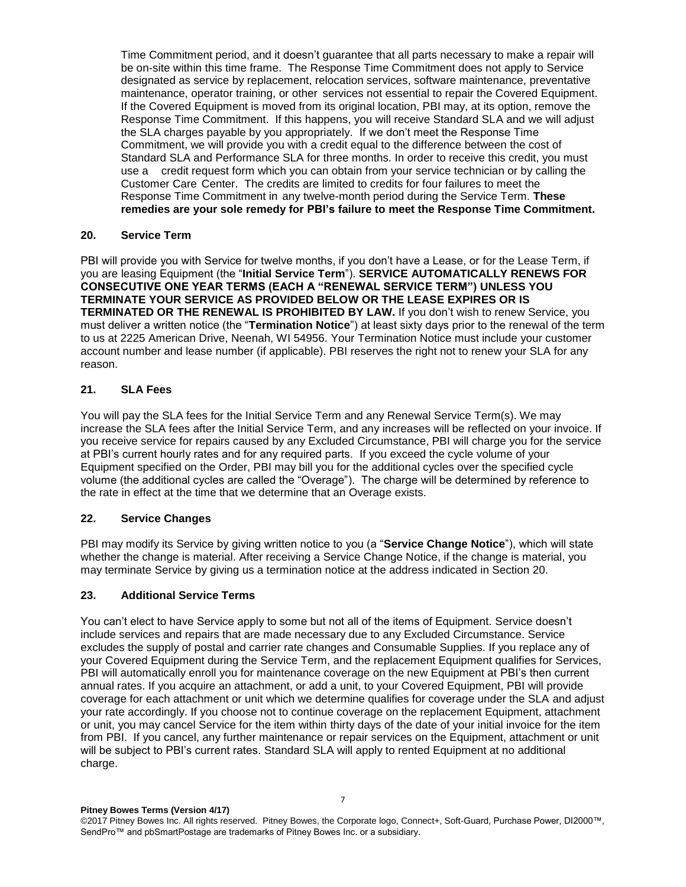Time Commitment period, and it doesn't guarantee that all parts necessary to make a repair will be on-site within this time frame. The Response Time Commitment does not apply to Service designated as service by replacement, relocation services, software maintenance, preventative maintenance, operator training, or other services not essential to repair the Covered Equipment. If the Covered Equipment is moved from its original location, PBI may, at its option, remove the Response Time Commitment. If this happens, you will receive Standard SLA and we will adjust the SLA charges payable by you appropriately. If we don't meet the Response Time Commitment, we will provide you with a credit equal to the difference between the cost of Standard SLA and Performance SLA for three months. In order to receive this credit, you must use a credit request form which you can obtain from your service technician or by calling the Customer Care Center. The credits are limited to credits for four failures to meet the Response Time Commitment in any twelve-month period during the Service Term. **These remedies are your sole remedy for PBI's failure to meet the Response Time Commitment.**

### **20. Service Term**

PBI will provide you with Service for twelve months, if you don't have a Lease, or for the Lease Term, if you are leasing Equipment (the "**Initial Service Term**"). **SERVICE AUTOMATICALLY RENEWS FOR CONSECUTIVE ONE YEAR TERMS (EACH A "RENEWAL SERVICE TERM") UNLESS YOU TERMINATE YOUR SERVICE AS PROVIDED BELOW OR THE LEASE EXPIRES OR IS TERMINATED OR THE RENEWAL IS PROHIBITED BY LAW.** If you don't wish to renew Service, you must deliver a written notice (the "**Termination Notice**") at least sixty days prior to the renewal of the term to us at 2225 American Drive, Neenah, WI 54956. Your Termination Notice must include your customer account number and lease number (if applicable). PBI reserves the right not to renew your SLA for any reason.

## **21. SLA Fees**

You will pay the SLA fees for the Initial Service Term and any Renewal Service Term(s). We may increase the SLA fees after the Initial Service Term, and any increases will be reflected on your invoice. If you receive service for repairs caused by any Excluded Circumstance, PBI will charge you for the service at PBI's current hourly rates and for any required parts. If you exceed the cycle volume of your Equipment specified on the Order, PBI may bill you for the additional cycles over the specified cycle volume (the additional cycles are called the "Overage"). The charge will be determined by reference to the rate in effect at the time that we determine that an Overage exists.

### **22. Service Changes**

PBI may modify its Service by giving written notice to you (a "**Service Change Notice**"), which will state whether the change is material. After receiving a Service Change Notice, if the change is material, you may terminate Service by giving us a termination notice at the address indicated in Section 20.

### **23. Additional Service Terms**

You can't elect to have Service apply to some but not all of the items of Equipment. Service doesn't include services and repairs that are made necessary due to any Excluded Circumstance. Service excludes the supply of postal and carrier rate changes and Consumable Supplies. If you replace any of your Covered Equipment during the Service Term, and the replacement Equipment qualifies for Services, PBI will automatically enroll you for maintenance coverage on the new Equipment at PBI's then current annual rates. If you acquire an attachment, or add a unit, to your Covered Equipment, PBI will provide coverage for each attachment or unit which we determine qualifies for coverage under the SLA and adjust your rate accordingly. If you choose not to continue coverage on the replacement Equipment, attachment or unit, you may cancel Service for the item within thirty days of the date of your initial invoice for the item from PBI. If you cancel, any further maintenance or repair services on the Equipment, attachment or unit will be subject to PBI's current rates. Standard SLA will apply to rented Equipment at no additional charge.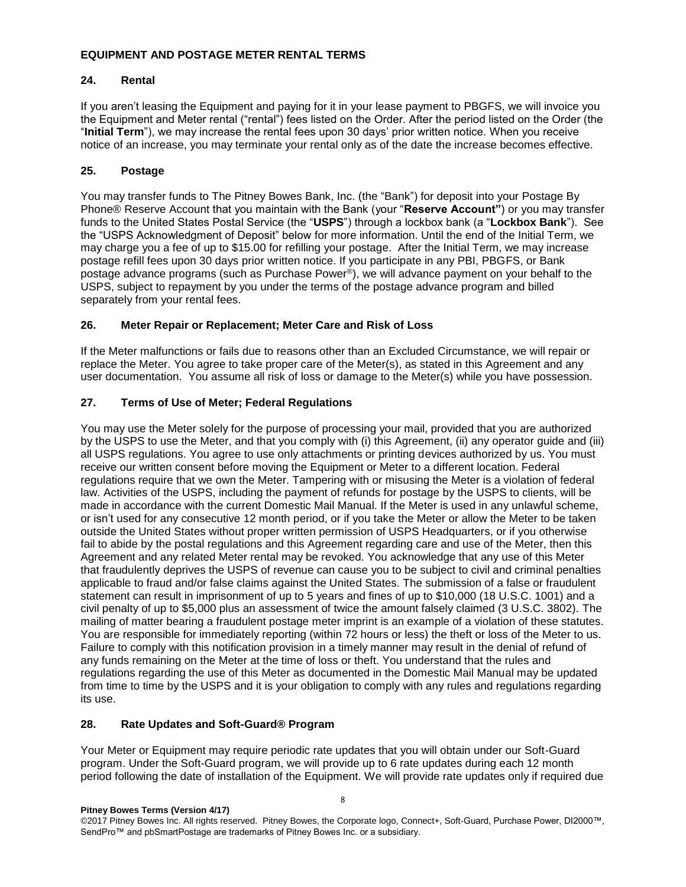### **EQUIPMENT AND POSTAGE METER RENTAL TERMS**

### **24. Rental**

If you aren't leasing the Equipment and paying for it in your lease payment to PBGFS, we will invoice you the Equipment and Meter rental ("rental") fees listed on the Order. After the period listed on the Order (the "**Initial Term**"), we may increase the rental fees upon 30 days' prior written notice. When you receive notice of an increase, you may terminate your rental only as of the date the increase becomes effective.

## **25. Postage**

You may transfer funds to The Pitney Bowes Bank, Inc. (the "Bank") for deposit into your Postage By Phone® Reserve Account that you maintain with the Bank (your "**Reserve Account"**) or you may transfer funds to the United States Postal Service (the "**USPS**") through a lockbox bank (a "**Lockbox Bank**"). See the "USPS Acknowledgment of Deposit" below for more information. Until the end of the Initial Term, we may charge you a fee of up to \$15.00 for refilling your postage. After the Initial Term, we may increase postage refill fees upon 30 days prior written notice. If you participate in any PBI, PBGFS, or Bank postage advance programs (such as Purchase Power®), we will advance payment on your behalf to the USPS, subject to repayment by you under the terms of the postage advance program and billed separately from your rental fees.

### **26. Meter Repair or Replacement; Meter Care and Risk of Loss**

If the Meter malfunctions or fails due to reasons other than an Excluded Circumstance, we will repair or replace the Meter. You agree to take proper care of the Meter(s), as stated in this Agreement and any user documentation. You assume all risk of loss or damage to the Meter(s) while you have possession.

## **27. Terms of Use of Meter; Federal Regulations**

You may use the Meter solely for the purpose of processing your mail, provided that you are authorized by the USPS to use the Meter, and that you comply with (i) this Agreement, (ii) any operator guide and (iii) all USPS regulations. You agree to use only attachments or printing devices authorized by us. You must receive our written consent before moving the Equipment or Meter to a different location. Federal regulations require that we own the Meter. Tampering with or misusing the Meter is a violation of federal law. Activities of the USPS, including the payment of refunds for postage by the USPS to clients, will be made in accordance with the current Domestic Mail Manual. If the Meter is used in any unlawful scheme, or isn't used for any consecutive 12 month period, or if you take the Meter or allow the Meter to be taken outside the United States without proper written permission of USPS Headquarters, or if you otherwise fail to abide by the postal regulations and this Agreement regarding care and use of the Meter, then this Agreement and any related Meter rental may be revoked. You acknowledge that any use of this Meter that fraudulently deprives the USPS of revenue can cause you to be subject to civil and criminal penalties applicable to fraud and/or false claims against the United States. The submission of a false or fraudulent statement can result in imprisonment of up to 5 years and fines of up to \$10,000 (18 U.S.C. 1001) and a civil penalty of up to \$5,000 plus an assessment of twice the amount falsely claimed (3 U.S.C. 3802). The mailing of matter bearing a fraudulent postage meter imprint is an example of a violation of these statutes. You are responsible for immediately reporting (within 72 hours or less) the theft or loss of the Meter to us. Failure to comply with this notification provision in a timely manner may result in the denial of refund of any funds remaining on the Meter at the time of loss or theft. You understand that the rules and regulations regarding the use of this Meter as documented in the Domestic Mail Manual may be updated from time to time by the USPS and it is your obligation to comply with any rules and regulations regarding its use.

### **28. Rate Updates and Soft-Guard® Program**

Your Meter or Equipment may require periodic rate updates that you will obtain under our Soft-Guard program. Under the Soft-Guard program, we will provide up to 6 rate updates during each 12 month period following the date of installation of the Equipment. We will provide rate updates only if required due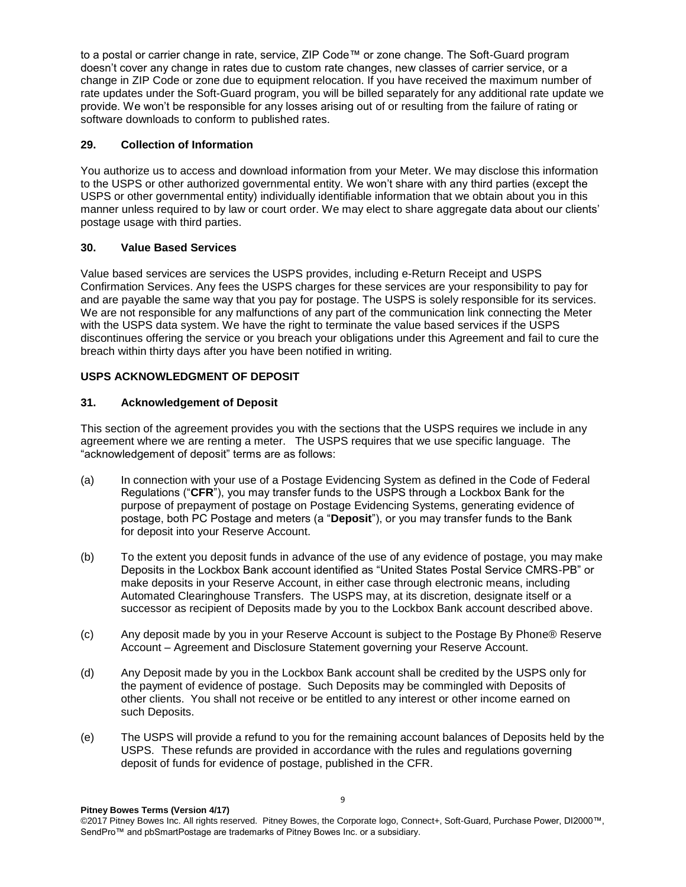to a postal or carrier change in rate, service, ZIP Code™ or zone change. The Soft-Guard program doesn't cover any change in rates due to custom rate changes, new classes of carrier service, or a change in ZIP Code or zone due to equipment relocation. If you have received the maximum number of rate updates under the Soft-Guard program, you will be billed separately for any additional rate update we provide. We won't be responsible for any losses arising out of or resulting from the failure of rating or software downloads to conform to published rates.

## **29. Collection of Information**

You authorize us to access and download information from your Meter. We may disclose this information to the USPS or other authorized governmental entity. We won't share with any third parties (except the USPS or other governmental entity) individually identifiable information that we obtain about you in this manner unless required to by law or court order. We may elect to share aggregate data about our clients' postage usage with third parties.

## **30. Value Based Services**

Value based services are services the USPS provides, including e-Return Receipt and USPS Confirmation Services. Any fees the USPS charges for these services are your responsibility to pay for and are payable the same way that you pay for postage. The USPS is solely responsible for its services. We are not responsible for any malfunctions of any part of the communication link connecting the Meter with the USPS data system. We have the right to terminate the value based services if the USPS discontinues offering the service or you breach your obligations under this Agreement and fail to cure the breach within thirty days after you have been notified in writing.

## **USPS ACKNOWLEDGMENT OF DEPOSIT**

## **31. Acknowledgement of Deposit**

This section of the agreement provides you with the sections that the USPS requires we include in any agreement where we are renting a meter. The USPS requires that we use specific language. The "acknowledgement of deposit" terms are as follows:

- (a) In connection with your use of a Postage Evidencing System as defined in the Code of Federal Regulations ("**CFR**"), you may transfer funds to the USPS through a Lockbox Bank for the purpose of prepayment of postage on Postage Evidencing Systems, generating evidence of postage, both PC Postage and meters (a "**Deposit**"), or you may transfer funds to the Bank for deposit into your Reserve Account.
- (b) To the extent you deposit funds in advance of the use of any evidence of postage, you may make Deposits in the Lockbox Bank account identified as "United States Postal Service CMRS-PB" or make deposits in your Reserve Account, in either case through electronic means, including Automated Clearinghouse Transfers. The USPS may, at its discretion, designate itself or a successor as recipient of Deposits made by you to the Lockbox Bank account described above.
- (c) Any deposit made by you in your Reserve Account is subject to the Postage By Phone® Reserve Account – Agreement and Disclosure Statement governing your Reserve Account.
- (d) Any Deposit made by you in the Lockbox Bank account shall be credited by the USPS only for the payment of evidence of postage. Such Deposits may be commingled with Deposits of other clients. You shall not receive or be entitled to any interest or other income earned on such Deposits.
- (e) The USPS will provide a refund to you for the remaining account balances of Deposits held by the USPS. These refunds are provided in accordance with the rules and regulations governing deposit of funds for evidence of postage, published in the CFR.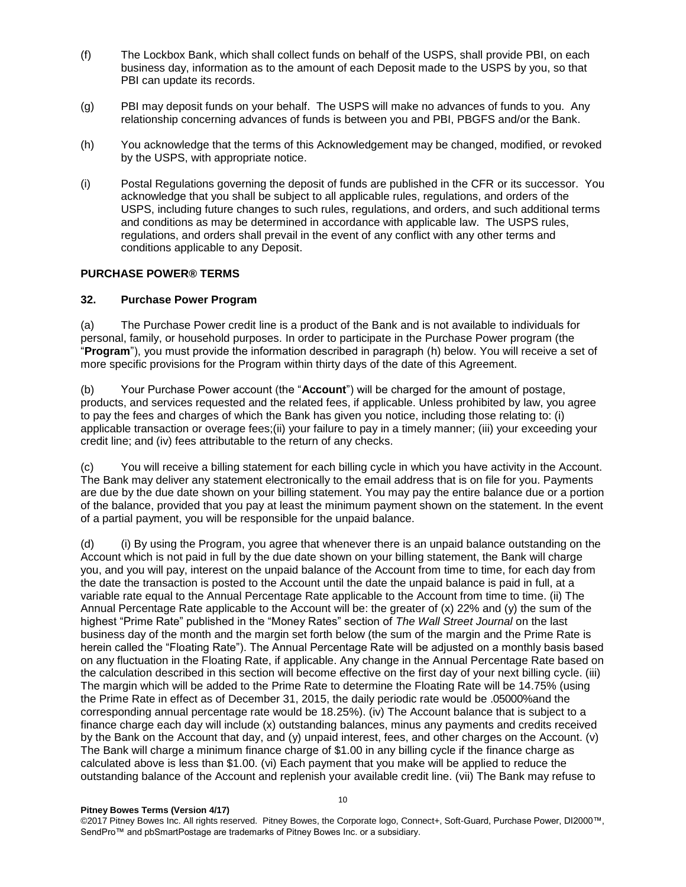- (f) The Lockbox Bank, which shall collect funds on behalf of the USPS, shall provide PBI, on each business day, information as to the amount of each Deposit made to the USPS by you, so that PBI can update its records.
- (g) PBI may deposit funds on your behalf. The USPS will make no advances of funds to you. Any relationship concerning advances of funds is between you and PBI, PBGFS and/or the Bank.
- (h) You acknowledge that the terms of this Acknowledgement may be changed, modified, or revoked by the USPS, with appropriate notice.
- (i) Postal Regulations governing the deposit of funds are published in the CFR or its successor. You acknowledge that you shall be subject to all applicable rules, regulations, and orders of the USPS, including future changes to such rules, regulations, and orders, and such additional terms and conditions as may be determined in accordance with applicable law. The USPS rules, regulations, and orders shall prevail in the event of any conflict with any other terms and conditions applicable to any Deposit.

### **PURCHASE POWER® TERMS**

#### **32. Purchase Power Program**

(a) The Purchase Power credit line is a product of the Bank and is not available to individuals for personal, family, or household purposes. In order to participate in the Purchase Power program (the "**Program**"), you must provide the information described in paragraph (h) below. You will receive a set of more specific provisions for the Program within thirty days of the date of this Agreement.

(b) Your Purchase Power account (the "**Account**") will be charged for the amount of postage, products, and services requested and the related fees, if applicable. Unless prohibited by law, you agree to pay the fees and charges of which the Bank has given you notice, including those relating to: (i) applicable transaction or overage fees;(ii) your failure to pay in a timely manner; (iii) your exceeding your credit line; and (iv) fees attributable to the return of any checks.

(c) You will receive a billing statement for each billing cycle in which you have activity in the Account. The Bank may deliver any statement electronically to the email address that is on file for you. Payments are due by the due date shown on your billing statement. You may pay the entire balance due or a portion of the balance, provided that you pay at least the minimum payment shown on the statement. In the event of a partial payment, you will be responsible for the unpaid balance.

(d) (i) By using the Program, you agree that whenever there is an unpaid balance outstanding on the Account which is not paid in full by the due date shown on your billing statement, the Bank will charge you, and you will pay, interest on the unpaid balance of the Account from time to time, for each day from the date the transaction is posted to the Account until the date the unpaid balance is paid in full, at a variable rate equal to the Annual Percentage Rate applicable to the Account from time to time. (ii) The Annual Percentage Rate applicable to the Account will be: the greater of (x) 22% and (y) the sum of the highest "Prime Rate" published in the "Money Rates" section of *The Wall Street Journal* on the last business day of the month and the margin set forth below (the sum of the margin and the Prime Rate is herein called the "Floating Rate"). The Annual Percentage Rate will be adjusted on a monthly basis based on any fluctuation in the Floating Rate, if applicable. Any change in the Annual Percentage Rate based on the calculation described in this section will become effective on the first day of your next billing cycle. (iii) The margin which will be added to the Prime Rate to determine the Floating Rate will be 14.75% (using the Prime Rate in effect as of December 31, 2015, the daily periodic rate would be .05000%and the corresponding annual percentage rate would be 18.25%). (iv) The Account balance that is subject to a finance charge each day will include (x) outstanding balances, minus any payments and credits received by the Bank on the Account that day, and (y) unpaid interest, fees, and other charges on the Account. (v) The Bank will charge a minimum finance charge of \$1.00 in any billing cycle if the finance charge as calculated above is less than \$1.00. (vi) Each payment that you make will be applied to reduce the outstanding balance of the Account and replenish your available credit line. (vii) The Bank may refuse to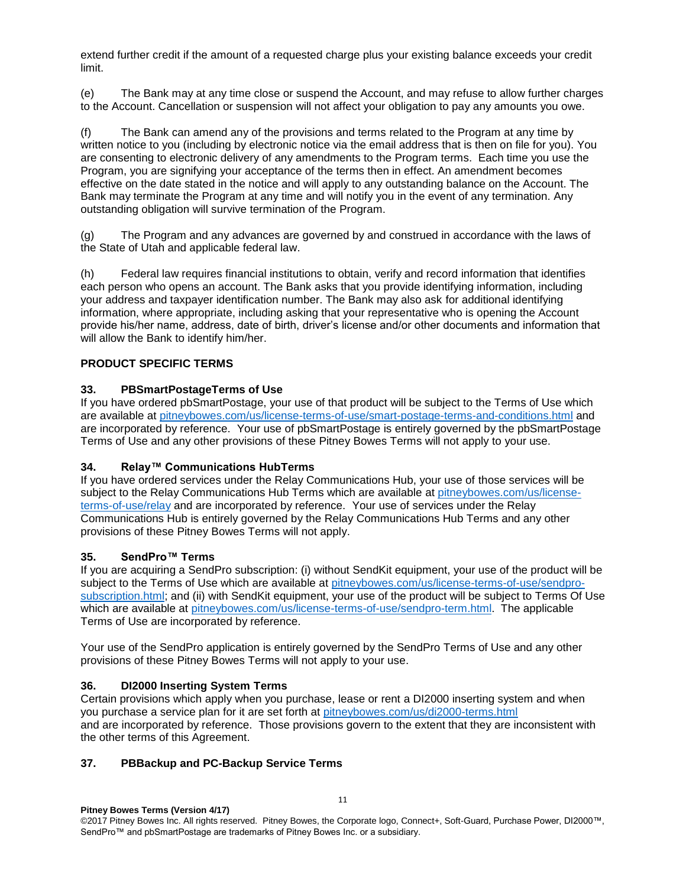extend further credit if the amount of a requested charge plus your existing balance exceeds your credit limit.

(e) The Bank may at any time close or suspend the Account, and may refuse to allow further charges to the Account. Cancellation or suspension will not affect your obligation to pay any amounts you owe.

(f) The Bank can amend any of the provisions and terms related to the Program at any time by written notice to you (including by electronic notice via the email address that is then on file for you). You are consenting to electronic delivery of any amendments to the Program terms. Each time you use the Program, you are signifying your acceptance of the terms then in effect. An amendment becomes effective on the date stated in the notice and will apply to any outstanding balance on the Account. The Bank may terminate the Program at any time and will notify you in the event of any termination. Any outstanding obligation will survive termination of the Program.

(g) The Program and any advances are governed by and construed in accordance with the laws of the State of Utah and applicable federal law.

(h) Federal law requires financial institutions to obtain, verify and record information that identifies each person who opens an account. The Bank asks that you provide identifying information, including your address and taxpayer identification number. The Bank may also ask for additional identifying information, where appropriate, including asking that your representative who is opening the Account provide his/her name, address, date of birth, driver's license and/or other documents and information that will allow the Bank to identify him/her.

## **PRODUCT SPECIFIC TERMS**

## **33. PBSmartPostageTerms of Use**

If you have ordered pbSmartPostage, your use of that product will be subject to the Terms of Use which are available at [pitneybowes.com/us/license-terms-of-use/smart-postage-terms-and-conditions.html](http://www.pitneybowes.com/us/license-terms-of-use/smart-postage-terms-and-conditions.html) and are incorporated by reference. Your use of pbSmartPostage is entirely governed by the pbSmartPostage Terms of Use and any other provisions of these Pitney Bowes Terms will not apply to your use.

## **34. Relay™ Communications HubTerms**

If you have ordered services under the Relay Communications Hub, your use of those services will be subject to the Relay Communications Hub Terms which are available at [pitneybowes.com/us/license](http://www.pitneybowes.com/us/license-terms-of-use/relay)[terms-of-use/relay](http://www.pitneybowes.com/us/license-terms-of-use/relay) and are incorporated by reference. Your use of services under the Relay Communications Hub is entirely governed by the Relay Communications Hub Terms and any other provisions of these Pitney Bowes Terms will not apply.

### **35. SendPro™ Terms**

If you are acquiring a SendPro subscription: (i) without SendKit equipment, your use of the product will be subject to the Terms of Use which are available at [pitneybowes.com/us/license-terms-of-use/sendpro](http://www.pitneybowes.com/us/license-terms-of-use/sendpro-subscription.html)[subscription.html;](http://www.pitneybowes.com/us/license-terms-of-use/sendpro-subscription.html) and (ii) with SendKit equipment, your use of the product will be subject to Terms Of Use which are available at [pitneybowes.com/us/license-terms-of-use/sendpro-term.html.](http://www.pitneybowes.com/us/license-terms-of-use/sendpro-term.html) The applicable Terms of Use are incorporated by reference.

Your use of the SendPro application is entirely governed by the SendPro Terms of Use and any other provisions of these Pitney Bowes Terms will not apply to your use.

## **36. DI2000 Inserting System Terms**

Certain provisions which apply when you purchase, lease or rent a DI2000 inserting system and when you purchase a service plan for it are set forth at [pitneybowes.com/us/di2000-terms.html](http://www.pitneybowes.com/us/di2000-terms.html) and are incorporated by reference. Those provisions govern to the extent that they are inconsistent with the other terms of this Agreement.

### **37. PBBackup and PC-Backup Service Terms**

**Pitney Bowes Terms (Version 4/17)**